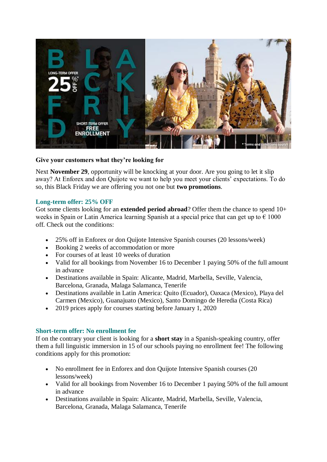

## **Give your customers what they're looking for**

Next **November 29**, opportunity will be knocking at your door. Are you going to let it slip away? At Enforex and don Quijote we want to help you meet your clients' expectations. To do so, this Black Friday we are offering you not one but **two promotions**.

## **Long-term offer: 25% OFF**

Got some clients looking for an **extended period abroad**? Offer them the chance to spend 10+ weeks in Spain or Latin America learning Spanish at a special price that can get up to  $\epsilon$  1000 off. Check out the conditions:

- 25% off in Enforex or don Quijote Intensive Spanish courses (20 lessons/week)
- Booking 2 weeks of accommodation or more
- For courses of at least 10 weeks of duration
- Valid for all bookings from November 16 to December 1 paying 50% of the full amount in advance
- Destinations available in Spain: Alicante, Madrid, Marbella, Seville, Valencia, Barcelona, Granada, Malaga Salamanca, Tenerife
- Destinations available in Latin America: Quito (Ecuador), Oaxaca (Mexico), Playa del Carmen (Mexico), Guanajuato (Mexico), Santo Domingo de Heredia (Costa Rica)
- 2019 prices apply for courses starting before January 1, 2020

## **Short-term offer: No enrollment fee**

If on the contrary your client is looking for a **short stay** in a Spanish-speaking country, offer them a full linguistic immersion in 15 of our schools paying no enrollment fee! The following conditions apply for this promotion:

- No enrollment fee in Enforex and don Quijote Intensive Spanish courses (20) lessons/week)
- Valid for all bookings from November 16 to December 1 paying 50% of the full amount in advance
- Destinations available in Spain: Alicante, Madrid, Marbella, Seville, Valencia, Barcelona, Granada, Malaga Salamanca, Tenerife